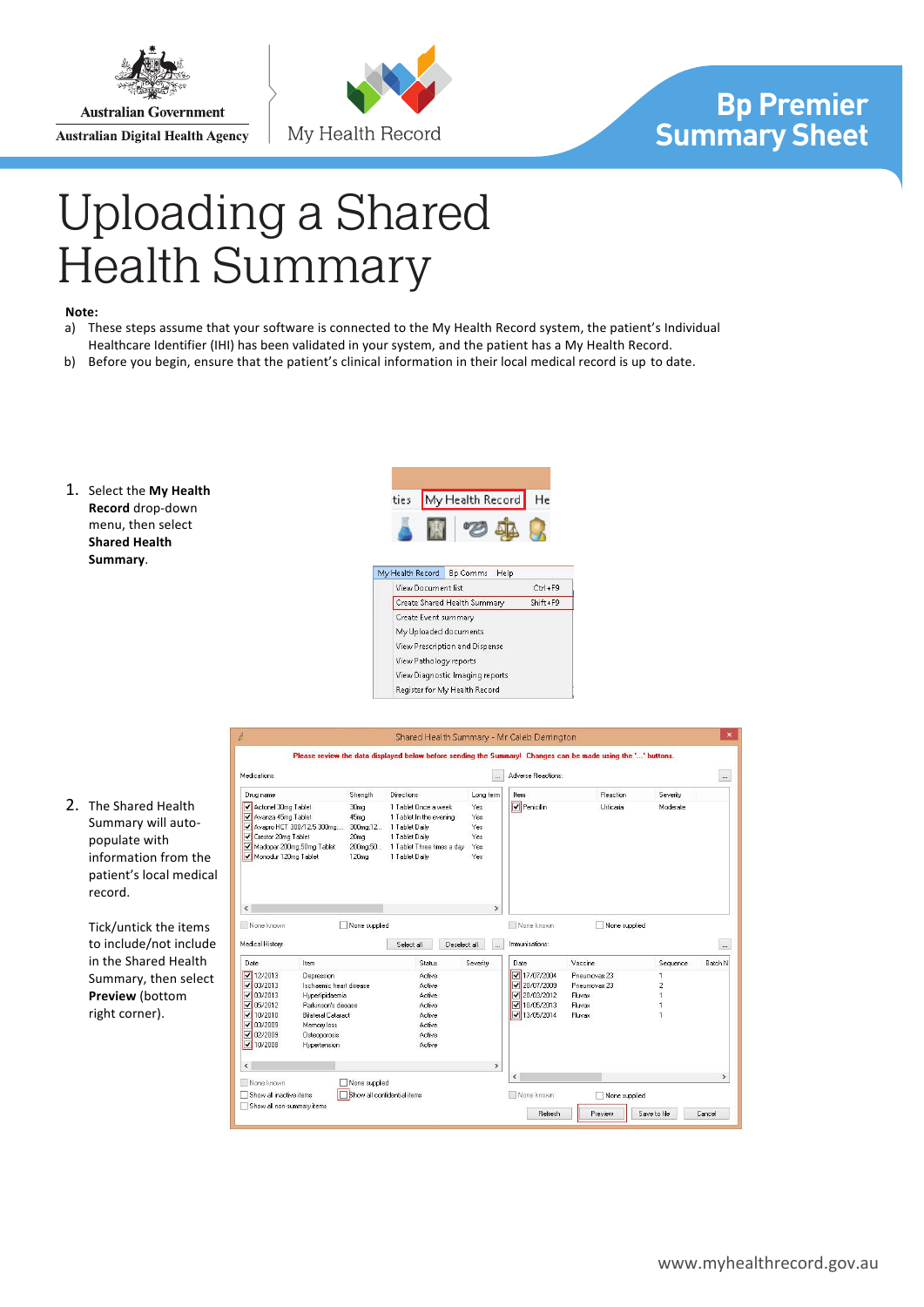

**Australian Government Australian Digital Health Agency** 



## **Bp Premier Summary Sheet**

## Uploading a Shared Health Summary

## **Note:**

- a) These steps assume that your software is connected to the My Health Record system, the patient's Individual Healthcare Identifier (IHI) has been validated in your system, and the patient has a My Health Record.
- b) Before you begin, ensure that the patient's clinical information in their local medical record is up to date.
- 1. Select the My Health **Record** drop-down menu, then select **Shared Health Summary**.





2. The Shared Health Summary will autopopulate with information from the patient's local medical record.

> Tick/untick the items to include/not include in the Shared Health Summary, then select **Preview** (bottom right corner).

|                                                                                                                        |                                                        |                                                                                                       |                                                                                                                                     |                                          | Please review the data displayed below before sending the Summary! Changes can be made using the '' buttons. |                  |                          |            |
|------------------------------------------------------------------------------------------------------------------------|--------------------------------------------------------|-------------------------------------------------------------------------------------------------------|-------------------------------------------------------------------------------------------------------------------------------------|------------------------------------------|--------------------------------------------------------------------------------------------------------------|------------------|--------------------------|------------|
| Medications:                                                                                                           |                                                        |                                                                                                       |                                                                                                                                     | $\sim$                                   | Adverse Beactions:                                                                                           |                  |                          | $\ldots$   |
| Drug name                                                                                                              |                                                        | Strength                                                                                              | Directions                                                                                                                          | Long term                                | Item                                                                                                         | Reaction         | Severity                 |            |
| Actonel 30mg Tablet<br>▿<br>Avanza 45mg Tablet<br>▿<br>◡<br>Crestor 20mg Tablet<br>▿<br>√<br>Monodur 120mg Tablet<br>M | Avapro HCT 300/12.5 300mg<br>Madopar 200mg;50mg Tablet | 30 <sub>mg</sub><br>45 <sub>mg</sub><br>300mg;12<br>20 <sub>mq</sub><br>200mg:50<br>120 <sub>mq</sub> | 1 Tablet Doce a week<br>1 Tablet In the evening<br>1 Tablet Daily<br>1 Tablet Daily<br>1 Tablet Three times a day<br>1 Tablet Daily | Yes.<br>Yes<br>Yes<br>Yes.<br>Yes<br>Yes | <b>V</b> Penicillin                                                                                          | <b>Hrticaria</b> | Moderate                 |            |
|                                                                                                                        |                                                        |                                                                                                       |                                                                                                                                     |                                          |                                                                                                              |                  |                          |            |
| ⋖<br>None known<br>Medical History:                                                                                    |                                                        | None supplied                                                                                         | Select all<br>Deselect all                                                                                                          | $\rightarrow$<br>a.                      | None known<br>Immunisations:                                                                                 | None supplied    |                          | $\ldots$   |
|                                                                                                                        | Item                                                   |                                                                                                       | <b>Status</b>                                                                                                                       | Severity                                 | Date                                                                                                         | Vaccine          | Sequence                 |            |
| 12/2013                                                                                                                | Depression                                             |                                                                                                       | <b>Active</b>                                                                                                                       |                                          | ⊽<br>17/07/2004                                                                                              | Pneumovax 23     |                          |            |
| 03/2013                                                                                                                | Ischaemic heart disease                                |                                                                                                       | <b>Active</b>                                                                                                                       |                                          | $\sqrt{20/17/2009}$                                                                                          | Pneumnvax 23     | $\overline{\phantom{a}}$ |            |
| 03/2013                                                                                                                | Hvoerlipidaemia                                        |                                                                                                       | Active                                                                                                                              |                                          | $\sqrt{20/03/2012}$                                                                                          | Fluvax           |                          |            |
| 05/2012                                                                                                                | Parkinson's disease.                                   |                                                                                                       | Active                                                                                                                              |                                          | $\sqrt{10/05/2013}$                                                                                          | Fluvax           |                          |            |
| 10/2010                                                                                                                | <b>Bilateral Cataract</b>                              |                                                                                                       | Active                                                                                                                              |                                          | $\sqrt{13/05/2014}$                                                                                          | Fluvax           | 1                        |            |
| Date<br>M<br>⊽<br>⊽<br>⊽<br>⊽<br>03/2009<br>⊽                                                                          | Memory loss                                            |                                                                                                       | <b>Active</b>                                                                                                                       |                                          |                                                                                                              |                  |                          |            |
|                                                                                                                        | Osteoporosis                                           |                                                                                                       | <b>Active</b>                                                                                                                       |                                          |                                                                                                              |                  |                          |            |
| $ $ 02/2009<br>$ $ $\sqrt$ 10/2008                                                                                     | Hypertension                                           |                                                                                                       | Active                                                                                                                              |                                          |                                                                                                              |                  |                          | Batch N    |
| $\leq$                                                                                                                 |                                                        |                                                                                                       |                                                                                                                                     | $\rightarrow$                            |                                                                                                              |                  |                          |            |
| None known                                                                                                             |                                                        | None supplied                                                                                         |                                                                                                                                     |                                          | $\overline{\phantom{a}}$                                                                                     |                  |                          | $\,{}^{*}$ |